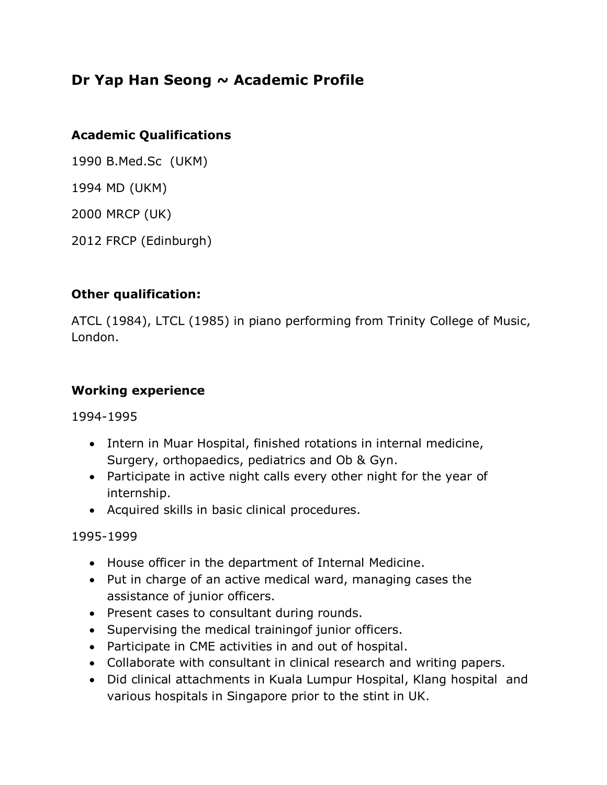# **Dr Yap Han Seong ~ Academic Profile**

## **Academic Qualifications**

1990 B.Med.Sc (UKM)

1994 MD (UKM)

2000 MRCP (UK)

2012 FRCP (Edinburgh)

## **Other qualification:**

ATCL (1984), LTCL (1985) in piano performing from Trinity College of Music, London.

#### **Working experience**

1994-1995

- Intern in Muar Hospital, finished rotations in internal medicine, Surgery, orthopaedics, pediatrics and Ob & Gyn.
- Participate in active night calls every other night for the year of internship.
- Acquired skills in basic clinical procedures.

1995-1999

- House officer in the department of Internal Medicine.
- Put in charge of an active medical ward, managing cases the assistance of junior officers.
- Present cases to consultant during rounds.
- Supervising the medical training of junior officers.
- Participate in CME activities in and out of hospital.
- Collaborate with consultant in clinical research and writing papers.
- Did clinical attachments in Kuala Lumpur Hospital, Klang hospital and various hospitals in Singapore prior to the stint in UK.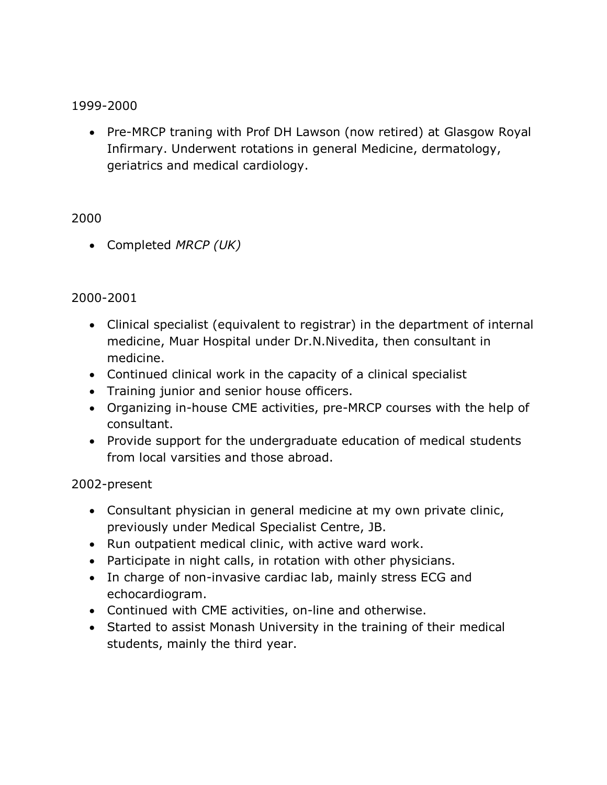#### 1999-2000

• Pre-MRCP traning with Prof DH Lawson (now retired) at Glasgow Royal Infirmary. Underwent rotations in general Medicine, dermatology, geriatrics and medical cardiology.

#### 2000

Completed *MRCP (UK)*

#### 2000-2001

- Clinical specialist (equivalent to registrar) in the department of internal medicine, Muar Hospital under Dr.N.Nivedita, then consultant in medicine.
- Continued clinical work in the capacity of a clinical specialist
- Training junior and senior house officers.
- Organizing in-house CME activities, pre-MRCP courses with the help of consultant.
- Provide support for the undergraduate education of medical students from local varsities and those abroad.

#### 2002-present

- Consultant physician in general medicine at my own private clinic, previously under Medical Specialist Centre, JB.
- Run outpatient medical clinic, with active ward work.
- Participate in night calls, in rotation with other physicians.
- In charge of non-invasive cardiac lab, mainly stress ECG and echocardiogram.
- Continued with CME activities, on-line and otherwise.
- Started to assist Monash University in the training of their medical students, mainly the third year.